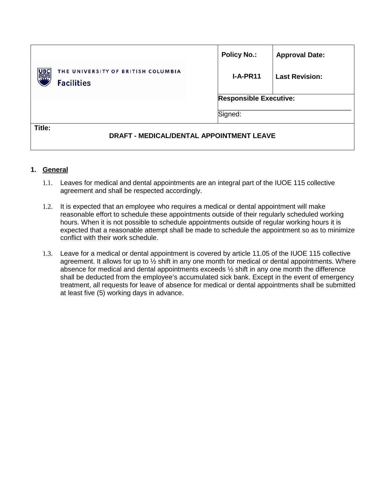|                                                                | <b>Policy No.:</b>            | <b>Approval Date:</b> |
|----------------------------------------------------------------|-------------------------------|-----------------------|
| THE UNIVERSITY OF BRITISH COLUMBIA<br>UB(<br><b>Facilities</b> | $I-A-PR11$                    | <b>Last Revision:</b> |
|                                                                | <b>Responsible Executive:</b> |                       |
|                                                                | Signed:                       |                       |
| Title:<br><b>DRAFT - MEDICAL/DENTAL APPOINTMENT LEAVE</b>      |                               |                       |

## **1. General**

- 1.1. Leaves for medical and dental appointments are an integral part of the IUOE 115 collective agreement and shall be respected accordingly.
- 1.2. It is expected that an employee who requires a medical or dental appointment will make reasonable effort to schedule these appointments outside of their regularly scheduled working hours. When it is not possible to schedule appointments outside of regular working hours it is expected that a reasonable attempt shall be made to schedule the appointment so as to minimize conflict with their work schedule.
- 1.3. Leave for a medical or dental appointment is covered by article 11.05 of the IUOE 115 collective agreement. It allows for up to  $\frac{1}{2}$  shift in any one month for medical or dental appointments. Where absence for medical and dental appointments exceeds ½ shift in any one month the difference shall be deducted from the employee's accumulated sick bank. Except in the event of emergency treatment, all requests for leave of absence for medical or dental appointments shall be submitted at least five (5) working days in advance.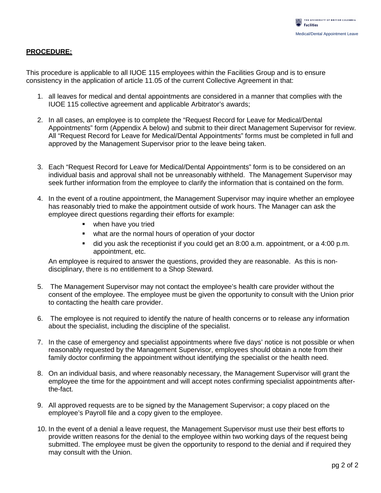## **PROCEDURE:**

This procedure is applicable to all IUOE 115 employees within the Facilities Group and is to ensure consistency in the application of article 11.05 of the current Collective Agreement in that:

- 1. all leaves for medical and dental appointments are considered in a manner that complies with the IUOE 115 collective agreement and applicable Arbitrator's awards;
- 2. In all cases, an employee is to complete the "Request Record for Leave for Medical/Dental Appointments" form (Appendix A below) and submit to their direct Management Supervisor for review. All "Request Record for Leave for Medical/Dental Appointments" forms must be completed in full and approved by the Management Supervisor prior to the leave being taken.
- 3. Each "Request Record for Leave for Medical/Dental Appointments" form is to be considered on an individual basis and approval shall not be unreasonably withheld. The Management Supervisor may seek further information from the employee to clarify the information that is contained on the form.
- 4. In the event of a routine appointment, the Management Supervisor may inquire whether an employee has reasonably tried to make the appointment outside of work hours. The Manager can ask the employee direct questions regarding their efforts for example:
	- **•** when have you tried
	- what are the normal hours of operation of your doctor
	- did you ask the receptionist if you could get an 8:00 a.m. appointment, or a 4:00 p.m. appointment, etc.

An employee is required to answer the questions, provided they are reasonable. As this is nondisciplinary, there is no entitlement to a Shop Steward.

- 5. The Management Supervisor may not contact the employee's health care provider without the consent of the employee. The employee must be given the opportunity to consult with the Union prior to contacting the health care provider.
- 6. The employee is not required to identify the nature of health concerns or to release any information about the specialist, including the discipline of the specialist.
- 7. In the case of emergency and specialist appointments where five days' notice is not possible or when reasonably requested by the Management Supervisor, employees should obtain a note from their family doctor confirming the appointment without identifying the specialist or the health need.
- 8. On an individual basis, and where reasonably necessary, the Management Supervisor will grant the employee the time for the appointment and will accept notes confirming specialist appointments afterthe-fact.
- 9. All approved requests are to be signed by the Management Supervisor; a copy placed on the employee's Payroll file and a copy given to the employee.
- 10. In the event of a denial a leave request, the Management Supervisor must use their best efforts to provide written reasons for the denial to the employee within two working days of the request being submitted. The employee must be given the opportunity to respond to the denial and if required they may consult with the Union.